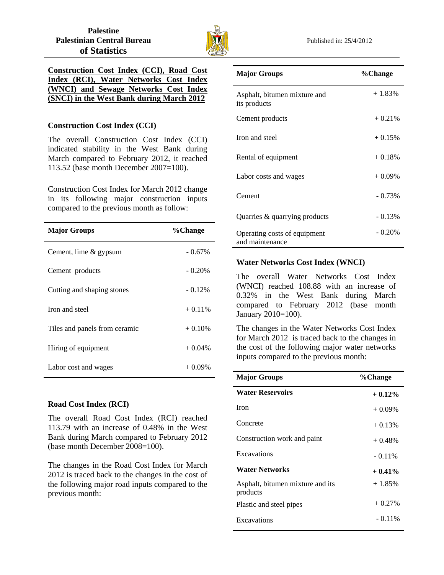

|  | Construction Cost Index (CCI), Road Cost  |  |
|--|-------------------------------------------|--|
|  | Index (RCI), Water Networks Cost Index    |  |
|  | (WNCI) and Sewage Networks Cost Index     |  |
|  | (SNCI) in the West Bank during March 2012 |  |

## **Construction Cost Index (CCI)**

The overall Construction Cost Index (CCI) indicated stability in the West Bank during March compared to February 2012, it reached 113.52 (base month December 2007=100).

Construction Cost Index for March 2012 change in its following major construction inputs compared to the previous month as follow:

| <b>Major Groups</b>           | %Change   |
|-------------------------------|-----------|
| Cement, lime & gypsum         | $-0.67\%$ |
| Cement products               | $-0.20\%$ |
| Cutting and shaping stones    | $-0.12\%$ |
| Iron and steel                | $+0.11\%$ |
| Tiles and panels from ceramic | $+0.10%$  |
| Hiring of equipment           | $+0.04\%$ |
| Labor cost and wages          | $+0.09\%$ |

# **Road Cost Index (RCI)**

The overall Road Cost Index (RCI) reached 113.79 with an increase of 0.48% in the West Bank during March compared to February 2012 (base month December 2008=100).

The changes in the Road Cost Index for March 2012 is traced back to the changes in the cost of the following major road inputs compared to the previous month:

| <b>Major Groups</b>                             | %Change   |
|-------------------------------------------------|-----------|
| Asphalt, bitumen mixture and<br>its products    | $+1.83%$  |
| Cement products                                 | $+0.21%$  |
| Iron and steel                                  | $+0.15%$  |
| Rental of equipment                             | $+0.18%$  |
| Labor costs and wages                           | $+0.09%$  |
| Cement                                          | $-0.73%$  |
| Quarries & quarrying products                   | $-0.13%$  |
| Operating costs of equipment<br>and maintenance | $-0.20\%$ |

# **Water Networks Cost Index (WNCI)**

The overall Water Networks Cost Index (WNCI) reached 108.88 with an increase of 0.32% in the West Bank during March compared to February 2012 (base month January 2010=100).

The changes in the Water Networks Cost Index for March 2012 is traced back to the changes in the cost of the following major water networks inputs compared to the previous month:

| <b>Major Groups</b>                          | %Change   |
|----------------------------------------------|-----------|
| <b>Water Reservoirs</b>                      | $+0.12%$  |
| <b>Iron</b>                                  | $+0.09\%$ |
| Concrete                                     | $+0.13%$  |
| Construction work and paint                  | $+0.48%$  |
| Excavations                                  | $-0.11\%$ |
| <b>Water Networks</b>                        | $+0.41\%$ |
| Asphalt, bitumen mixture and its<br>products | $+1.85%$  |
| Plastic and steel pipes                      | $+0.27\%$ |
| Excavations                                  | $-0.11\%$ |